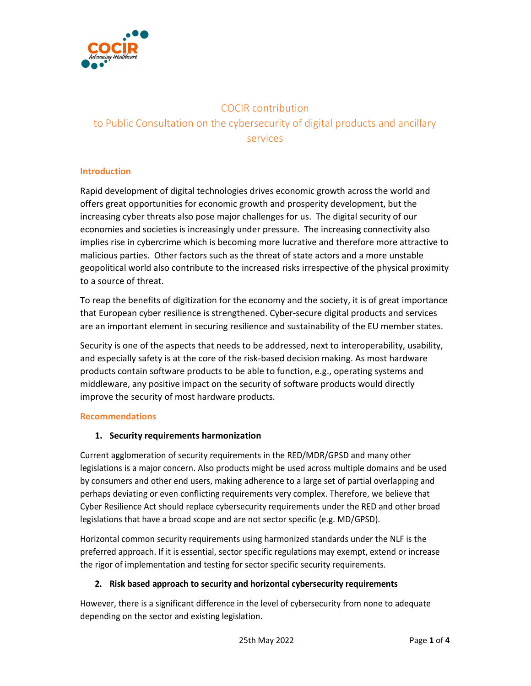

# COCIR contribution to Public Consultation on the cybersecurity of digital products and ancillary services

#### Introduction

Rapid development of digital technologies drives economic growth across the world and offers great opportunities for economic growth and prosperity development, but the increasing cyber threats also pose major challenges for us. The digital security of our economies and societies is increasingly under pressure. The increasing connectivity also implies rise in cybercrime which is becoming more lucrative and therefore more attractive to malicious parties. Other factors such as the threat of state actors and a more unstable geopolitical world also contribute to the increased risks irrespective of the physical proximity to a source of threat.

To reap the benefits of digitization for the economy and the society, it is of great importance that European cyber resilience is strengthened. Cyber-secure digital products and services are an important element in securing resilience and sustainability of the EU member states.

Security is one of the aspects that needs to be addressed, next to interoperability, usability, and especially safety is at the core of the risk-based decision making. As most hardware products contain software products to be able to function, e.g., operating systems and middleware, any positive impact on the security of software products would directly improve the security of most hardware products.

#### Recommendations

## 1. Security requirements harmonization

Current agglomeration of security requirements in the RED/MDR/GPSD and many other legislations is a major concern. Also products might be used across multiple domains and be used by consumers and other end users, making adherence to a large set of partial overlapping and perhaps deviating or even conflicting requirements very complex. Therefore, we believe that Cyber Resilience Act should replace cybersecurity requirements under the RED and other broad legislations that have a broad scope and are not sector specific (e.g. MD/GPSD).

Horizontal common security requirements using harmonized standards under the NLF is the preferred approach. If it is essential, sector specific regulations may exempt, extend or increase the rigor of implementation and testing for sector specific security requirements.

## 2. Risk based approach to security and horizontal cybersecurity requirements

However, there is a significant difference in the level of cybersecurity from none to adequate depending on the sector and existing legislation.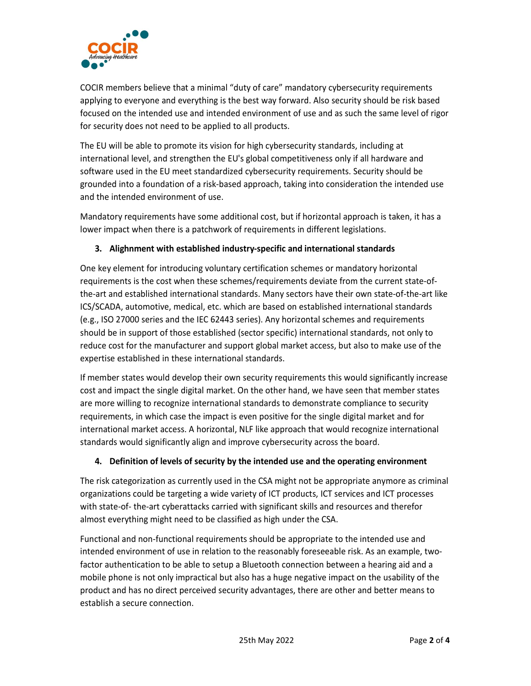

COCIR members believe that a minimal "duty of care" mandatory cybersecurity requirements applying to everyone and everything is the best way forward. Also security should be risk based focused on the intended use and intended environment of use and as such the same level of rigor for security does not need to be applied to all products.

The EU will be able to promote its vision for high cybersecurity standards, including at international level, and strengthen the EU's global competitiveness only if all hardware and software used in the EU meet standardized cybersecurity requirements. Security should be grounded into a foundation of a risk-based approach, taking into consideration the intended use and the intended environment of use.

Mandatory requirements have some additional cost, but if horizontal approach is taken, it has a lower impact when there is a patchwork of requirements in different legislations.

## 3. Alighnment with established industry-specific and international standards

One key element for introducing voluntary certification schemes or mandatory horizontal requirements is the cost when these schemes/requirements deviate from the current state-ofthe-art and established international standards. Many sectors have their own state-of-the-art like ICS/SCADA, automotive, medical, etc. which are based on established international standards (e.g., ISO 27000 series and the IEC 62443 series). Any horizontal schemes and requirements should be in support of those established (sector specific) international standards, not only to reduce cost for the manufacturer and support global market access, but also to make use of the expertise established in these international standards.

If member states would develop their own security requirements this would significantly increase cost and impact the single digital market. On the other hand, we have seen that member states are more willing to recognize international standards to demonstrate compliance to security requirements, in which case the impact is even positive for the single digital market and for international market access. A horizontal, NLF like approach that would recognize international standards would significantly align and improve cybersecurity across the board.

## 4. Definition of levels of security by the intended use and the operating environment

The risk categorization as currently used in the CSA might not be appropriate anymore as criminal organizations could be targeting a wide variety of ICT products, ICT services and ICT processes with state-of- the-art cyberattacks carried with significant skills and resources and therefor almost everything might need to be classified as high under the CSA.

Functional and non-functional requirements should be appropriate to the intended use and intended environment of use in relation to the reasonably foreseeable risk. As an example, twofactor authentication to be able to setup a Bluetooth connection between a hearing aid and a mobile phone is not only impractical but also has a huge negative impact on the usability of the product and has no direct perceived security advantages, there are other and better means to establish a secure connection.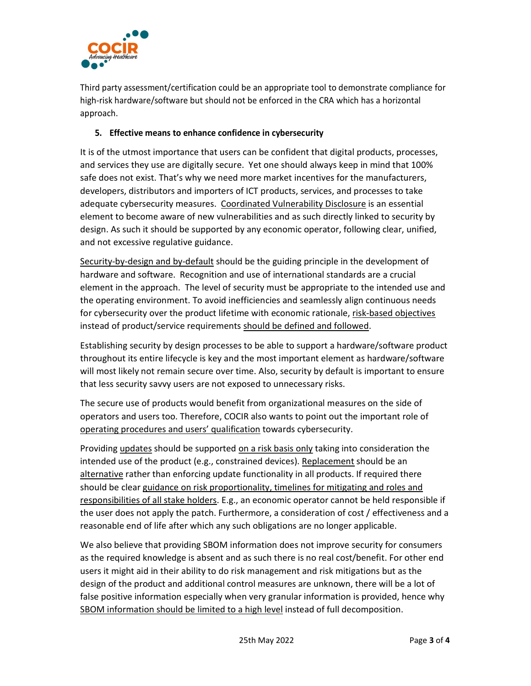

Third party assessment/certification could be an appropriate tool to demonstrate compliance for high-risk hardware/software but should not be enforced in the CRA which has a horizontal approach.

## 5. Effective means to enhance confidence in cybersecurity

It is of the utmost importance that users can be confident that digital products, processes, and services they use are digitally secure. Yet one should always keep in mind that 100% safe does not exist. That's why we need more market incentives for the manufacturers, developers, distributors and importers of ICT products, services, and processes to take adequate cybersecurity measures. Coordinated Vulnerability Disclosure is an essential element to become aware of new vulnerabilities and as such directly linked to security by design. As such it should be supported by any economic operator, following clear, unified, and not excessive regulative guidance.

Security-by-design and by-default should be the guiding principle in the development of hardware and software. Recognition and use of international standards are a crucial element in the approach. The level of security must be appropriate to the intended use and the operating environment. To avoid inefficiencies and seamlessly align continuous needs for cybersecurity over the product lifetime with economic rationale, risk-based objectives instead of product/service requirements should be defined and followed.

Establishing security by design processes to be able to support a hardware/software product throughout its entire lifecycle is key and the most important element as hardware/software will most likely not remain secure over time. Also, security by default is important to ensure that less security savvy users are not exposed to unnecessary risks.

The secure use of products would benefit from organizational measures on the side of operators and users too. Therefore, COCIR also wants to point out the important role of operating procedures and users' qualification towards cybersecurity.

Providing updates should be supported on a risk basis only taking into consideration the intended use of the product (e.g., constrained devices). Replacement should be an alternative rather than enforcing update functionality in all products. If required there should be clear guidance on risk proportionality, timelines for mitigating and roles and responsibilities of all stake holders. E.g., an economic operator cannot be held responsible if the user does not apply the patch. Furthermore, a consideration of cost / effectiveness and a reasonable end of life after which any such obligations are no longer applicable.

We also believe that providing SBOM information does not improve security for consumers as the required knowledge is absent and as such there is no real cost/benefit. For other end users it might aid in their ability to do risk management and risk mitigations but as the design of the product and additional control measures are unknown, there will be a lot of false positive information especially when very granular information is provided, hence why SBOM information should be limited to a high level instead of full decomposition.